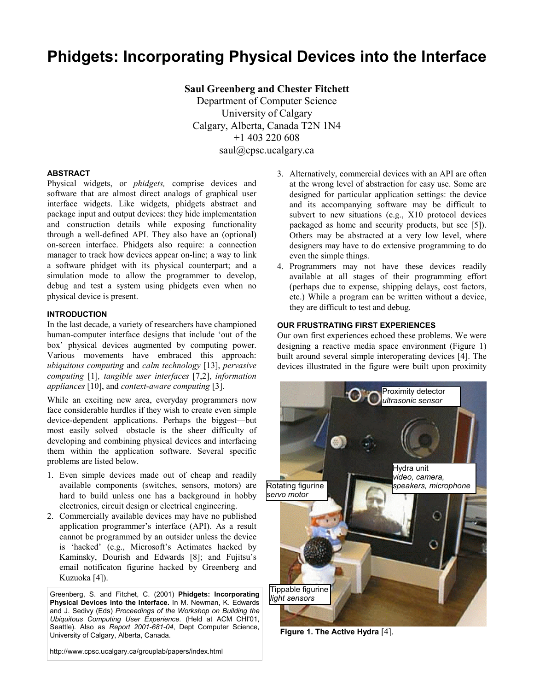# **Phidgets: Incorporating Physical Devices into the Interface**

**Saul Greenberg and Chester Fitchett**  Department of Computer Science University of Calgary Calgary, Alberta, Canada T2N 1N4 +1 403 220 608 saul@cpsc.ucalgary.ca

## **ABSTRACT**

Physical widgets, or *phidgets,* comprise devices and software that are almost direct analogs of graphical user interface widgets. Like widgets, phidgets abstract and package input and output devices: they hide implementation and construction details while exposing functionality through a well-defined API. They also have an (optional) on-screen interface. Phidgets also require: a connection manager to track how devices appear on-line; a way to link a software phidget with its physical counterpart; and a simulation mode to allow the programmer to develop, debug and test a system using phidgets even when no physical device is present.

#### **INTRODUCTION**

In the last decade, a variety of researchers have championed human-computer interface designs that include 'out of the box' physical devices augmented by computing power. Various movements have embraced this approach: *ubiquitous computing* and *calm technology* [13], *pervasive computing* [1]*, tangible user interfaces* [7,2], *information appliances* [10], and *context-aware computing* [3].

While an exciting new area, everyday programmers now face considerable hurdles if they wish to create even simple device-dependent applications. Perhaps the biggest—but most easily solved—obstacle is the sheer difficulty of developing and combining physical devices and interfacing them within the application software. Several specific problems are listed below.

- 1. Even simple devices made out of cheap and readily available components (switches, sensors, motors) are hard to build unless one has a background in hobby electronics, circuit design or electrical engineering.
- 2. Commercially available devices may have no published application programmer's interface (API). As a result cannot be programmed by an outsider unless the device is 'hacked' (e.g., Microsoft's Actimates hacked by Kaminsky, Dourish and Edwards [8]; and Fujitsu's email notificaton figurine hacked by Greenberg and Kuzuoka [4]).

Greenberg, S. and Fitchet, C. (2001) **Phidgets: Incorporating Physical Devices into the Interface.** In M. Newman, K. Edwards and J. Sedivy (Eds) *Proceedings of the Workshop on Building the Ubiquitous Computing User Experience.* (Held at ACM CHI'01, Seattle). Also as *Report 2001-681-04*, Dept Computer Science, University of Calgary, Alberta, Canada.

http://www.cpsc.ucalgary.ca/grouplab/papers/index.html

- 3. Alternatively, commercial devices with an API are often at the wrong level of abstraction for easy use. Some are designed for particular application settings: the device and its accompanying software may be difficult to subvert to new situations (e.g., X10 protocol devices packaged as home and security products, but see [5]). Others may be abstracted at a very low level, where designers may have to do extensive programming to do even the simple things.
- 4. Programmers may not have these devices readily available at all stages of their programming effort (perhaps due to expense, shipping delays, cost factors, etc.) While a program can be written without a device, they are difficult to test and debug.

#### **OUR FRUSTRATING FIRST EXPERIENCES**

Our own first experiences echoed these problems. We were designing a reactive media space environment (Figure 1) built around several simple interoperating devices [4]. The devices illustrated in the figure were built upon proximity



**Figure 1. The Active Hydra** [4].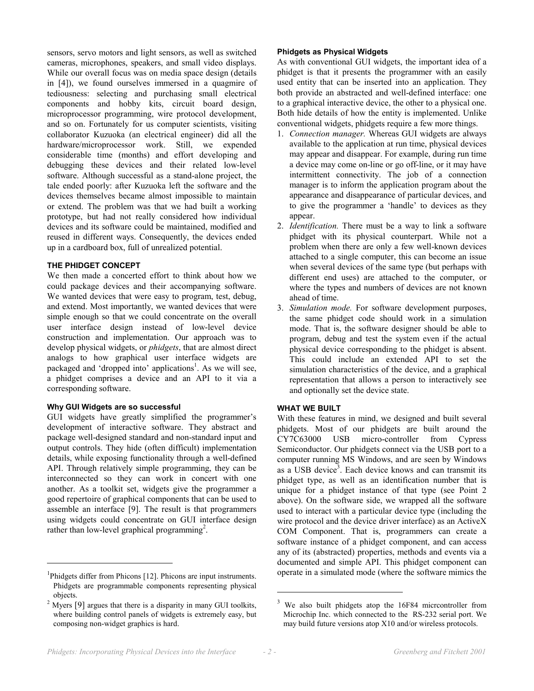sensors, servo motors and light sensors, as well as switched cameras, microphones, speakers, and small video displays. While our overall focus was on media space design (details in [4]), we found ourselves immersed in a quagmire of tediousness: selecting and purchasing small electrical components and hobby kits, circuit board design, microprocessor programming, wire protocol development, and so on. Fortunately for us computer scientists, visiting collaborator Kuzuoka (an electrical engineer) did all the hardware/microprocessor work. Still, we expended considerable time (months) and effort developing and debugging these devices and their related low-level software. Although successful as a stand-alone project, the tale ended poorly: after Kuzuoka left the software and the devices themselves became almost impossible to maintain or extend. The problem was that we had built a working prototype, but had not really considered how individual devices and its software could be maintained, modified and reused in different ways. Consequently, the devices ended up in a cardboard box, full of unrealized potential.

### **THE PHIDGET CONCEPT**

We then made a concerted effort to think about how we could package devices and their accompanying software. We wanted devices that were easy to program, test, debug, and extend. Most importantly, we wanted devices that were simple enough so that we could concentrate on the overall user interface design instead of low-level device construction and implementation. Our approach was to develop physical widgets, or *phidgets*, that are almost direct analogs to how graphical user interface widgets are packaged and 'dropped into' applications<sup>1</sup>. As we will see, a phidget comprises a device and an API to it via a corresponding software.

#### **Why GUI Widgets are so successful**

l

GUI widgets have greatly simplified the programmer's development of interactive software. They abstract and package well-designed standard and non-standard input and output controls. They hide (often difficult) implementation details, while exposing functionality through a well-defined API. Through relatively simple programming, they can be interconnected so they can work in concert with one another. As a toolkit set, widgets give the programmer a good repertoire of graphical components that can be used to assemble an interface [9]. The result is that programmers using widgets could concentrate on GUI interface design rather than low-level graphical programming<sup>2</sup>.

#### **Phidgets as Physical Widgets**

As with conventional GUI widgets, the important idea of a phidget is that it presents the programmer with an easily used entity that can be inserted into an application. They both provide an abstracted and well-defined interface: one to a graphical interactive device, the other to a physical one. Both hide details of how the entity is implemented. Unlike conventional widgets, phidgets require a few more things.

- 1. *Connection manager.* Whereas GUI widgets are always available to the application at run time, physical devices may appear and disappear. For example, during run time a device may come on-line or go off-line, or it may have intermittent connectivity. The job of a connection manager is to inform the application program about the appearance and disappearance of particular devices, and to give the programmer a 'handle' to devices as they appear.
- 2. *Identification.* There must be a way to link a software phidget with its physical counterpart. While not a problem when there are only a few well-known devices attached to a single computer, this can become an issue when several devices of the same type (but perhaps with different end uses) are attached to the computer, or where the types and numbers of devices are not known ahead of time.
- 3. *Simulation mode.* For software development purposes, the same phidget code should work in a simulation mode. That is, the software designer should be able to program, debug and test the system even if the actual physical device corresponding to the phidget is absent. This could include an extended API to set the simulation characteristics of the device, and a graphical representation that allows a person to interactively see and optionally set the device state.

# **WHAT WE BUILT**

With these features in mind, we designed and built several phidgets. Most of our phidgets are built around the CY7C63000 USB micro-controller from Cypress Semiconductor. Our phidgets connect via the USB port to a computer running MS Windows, and are seen by Windows as a USB device<sup>3</sup>. Each device knows and can transmit its phidget type, as well as an identification number that is unique for a phidget instance of that type (see Point 2 above). On the software side, we wrapped all the software used to interact with a particular device type (including the wire protocol and the device driver interface) as an ActiveX COM Component. That is, programmers can create a software instance of a phidget component, and can access any of its (abstracted) properties, methods and events via a documented and simple API. This phidget component can operate in a simulated mode (where the software mimics the

-

<sup>&</sup>lt;sup>1</sup>Phidgets differ from Phicons [12]. Phicons are input instruments. Phidgets are programmable components representing physical objects.

<sup>2</sup> Myers [9] argues that there is a disparity in many GUI toolkits, where building control panels of widgets is extremely easy, but composing non-widget graphics is hard.

<sup>3</sup> We also built phidgets atop the 16F84 micrcontroller from Microchip Inc. which connected to the RS-232 serial port. We may build future versions atop X10 and/or wireless protocols.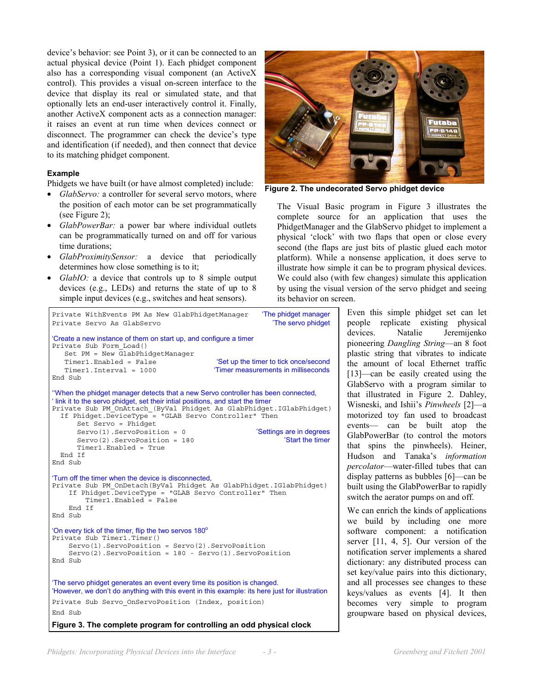device's behavior: see Point 3), or it can be connected to an actual physical device (Point 1). Each phidget component also has a corresponding visual component (an ActiveX control). This provides a visual on-screen interface to the device that display its real or simulated state, and that optionally lets an end-user interactively control it. Finally, another ActiveX component acts as a connection manager: it raises an event at run time when devices connect or disconnect. The programmer can check the device's type and identification (if needed), and then connect that device to its matching phidget component.

# **Example**

Phidgets we have built (or have almost completed) include:

- *GlabServo:* a controller for several servo motors, where the position of each motor can be set programmatically (see Figure 2);
- *GlabPowerBar:* a power bar where individual outlets can be programmatically turned on and off for various time durations;
- *GlabProximitySensor:* a device that periodically determines how close something is to it;
- *GlabIO:* a device that controls up to 8 simple output devices (e.g., LEDs) and returns the state of up to 8 simple input devices (e.g., switches and heat sensors).



**Figure 3. The complete program for controlling an odd physical clock**



**Figure 2. The undecorated Servo phidget device** 

The Visual Basic program in Figure 3 illustrates the complete source for an application that uses the PhidgetManager and the GlabServo phidget to implement a physical 'clock' with two flaps that open or close every second (the flaps are just bits of plastic glued each motor platform). While a nonsense application, it does serve to illustrate how simple it can be to program physical devices. We could also (with few changes) simulate this application by using the visual version of the servo phidget and seeing its behavior on screen.

> Even this simple phidget set can let people replicate existing physical Natalie Jeremijenko pioneering *Dangling String*—an 8 foot plastic string that vibrates to indicate the amount of local Ethernet traffic [13]—can be easily created using the GlabServo with a program similar to that illustrated in Figure 2. Dahley, Wisneski, and Ishii's *Pinwheels* [2]—a motorized toy fan used to broadcast events— can be built atop the GlabPowerBar (to control the motors that spins the pinwheels). Heiner, Hudson and Tanaka's *information percolator*—water-filled tubes that can display patterns as bubbles [6]—can be built using the GlabPowerBar to rapidly switch the aerator pumps on and off.

> We can enrich the kinds of applications we build by including one more software component: a notification server [11, 4, 5]. Our version of the notification server implements a shared dictionary: any distributed process can set key/value pairs into this dictionary, and all processes see changes to these keys/values as events [4]. It then becomes very simple to program groupware based on physical devices,